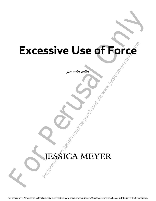# **Performance Materials must be purchased via www.jessicameryermusic.com**<br>Purchased via www.jessic.com<br>Purchased via www.jessic.com Excessive Use of Force **Excessive Use of Force**

*for solo cello*

# JESSICA MEYER

For perusal only. Performance materials must be purchased via www.jessicameyermusic.com. Unauthorized reproduction or distribution is strictly prohibited.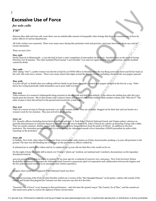## **Excessive Use of Force**

### *for solo cello*

### **3'30"**

Between May 26th and June 4th, 2020 there was an unbelievable amount of inarguable video footage that featured excessive use of force by police officers of various departments.

All of the victims were unarmed. There were many more during this particular week and previous, and many have been about race and/or sexual orientation.

These are just a few:

### **May 25th**

Derek Chauvin in Minneapolis - a cop who had at least 17 prior complaints of misconduct on the force - kneeled down on the neck of George Floyd for over 8 minutes. The video included Floyd saying "I can't breathe" over and over again until he was unconscious, and the incident caused his death.

### **May 29th**

After asking "why?", a petite woman was shoved so hard by an NYPD officer in Brooklyn that she was flung across the street and hit her head on the curb. She went into a seizure. There were many others that night around the Barclay Center, including a Senator who was pepper sprayed.

### **May 30th**

A 9 year-old girl in Seattle that was walking with her family to get home alongside a protest gets pepper sprayed in the face by a cop. Video shows her crying hysterically while bystanders run to pour milk over her.

### **May 31st**

Video surfaces of a woman in Indianapolis being arrested on the sidewalk and held from behind. Video shows her jerking free after the cop's hands graze her breasts. She is then beaten with a baton 6 times and sprayed with rubber bullets while another woman yells "Why her??" The other woman is then shoved hard to the ground and arrested by 4 male cops.

### **May 31st**

Video of a swarm of cops in Chicago surround a car with 2 women inside. They are violently dragged out by their hair and one kneels on a woman's neck for two minutes. They just arrived to go shopping.

### **June 1st**

There were many more during this particular week and previous, and many have been about the and (or any who had et deter try process purchased via the control of the materials must be purchased via who had the purchase of Excessive Use of Force<br>
System cells of the cells of the cells of the cells of the cells of the cells of the cells of the cells of the cells of the cells of the cells of the cells of the cells of the cells of the cells of D.C. Security officers (including Secret Service, military police, U. S. Park Police, District National Guard, and Virgina police), advance on peaceful demonstrators in Lafayette Square in order to clear the area in front of St. John's Church for a photo-op featuring Trump with a bible. They use smoke canisters, shields, pepper balls, and horses to force demonstrators from the park to H Street. In addition to the hurt protesters, The Australian government said it is investigating the videotaped assault of two Australian 7NEWS journalists by police while reporting on the protesters.

### **June 4th**

In Buffalo, New York, video taken by a reporter from a local public radio station on Friday showed police pushing a 75-year-old protester to the ground. The man was left bleeding out of his ears on the pavement as officers walked by.

It sickened me to watch these videos and try to explain to my 13 year-old son that this is the world we live in.

On the night of June 1st, while still in shock over Trump's "photo-op" incident, my husband and I watched a documentary on the legendary Woodstock Festival.

400,000 people descended on a farm in upstate NY 50 years ago for a weekend of concerts, love, and peace. New York Governor Nelson Rockefeller threatened to summon the National Guard, however a grassroots spirit of cooperation and collaboration between the hippies and the few police present resulted in an amazingly non-violent experience.

Imagine what would have happened if the National Guard was there.

On the last morning of the Festival, Jimi Hendrix wailed out a version of the "Star Spangled Banner" on his guitar, replete with sounds of the rockets and bombs that plagued the Vietnam war that everyone was sick of at the time.

"Excessive Use of Force" is my homage to that performance - only this time the quoted song is "My Country 'tis of Thee", and the sounds are that much more gritty to convey the ugliness of these current times.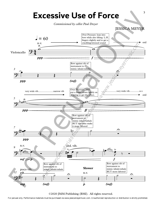

©2020 JMM Publishing (BMI). All rights reserved.

For perusal only. Performance materials must be purchased via www.jessicameyermusic.com. Unauthorized reproduction or distribution is strictly prohibited.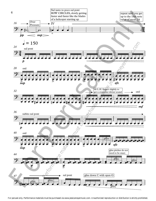

For perusal only. Performance materials must be purchased via www.jessicameyermusic.com. Unauthorized reproduction or distribution is strictly prohibited.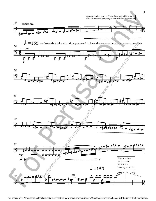

For perusal only. Performance materials must be purchased via www.jessicameyermusic.com. Unauthorized reproduction or distribution is strictly prohibited.